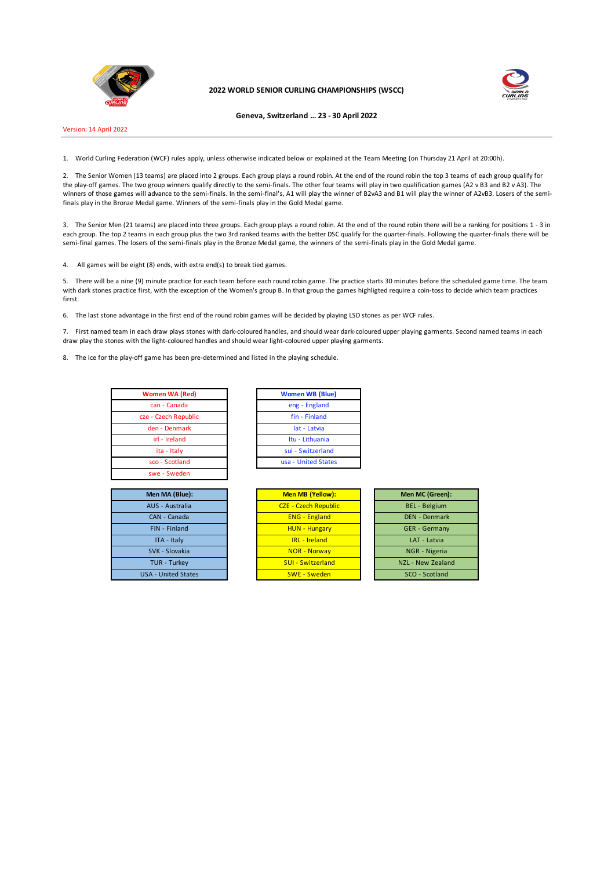

**2022 WORLD SENIOR CURLING CHAMPIONSHIPS (WSCC)**



**Geneva, Switzerland … 23 - 30 April 2022**

Version: 14 April 2022

1. World Curling Federation (WCF) rules apply, unless otherwise indicated below or explained at the Team Meeting (on Thursday 21 April at 20:00h).

2. The Senior Women (13 teams) are placed into 2 groups. Each group plays a round robin. At the end of the round robin the top 3 teams of each group qualify for the play-off games. The two group winners qualify directly to the semi-finals. The other four teams will play in two qualification games (A2 v B3 and B2 v A3). The winners of those games will advance to the semi-finals. In the semi-final's, A1 will play the winner of B2vA3 and B1 will play the winner of A2vB3. Losers of the semifinals play in the Bronze Medal game. Winners of the semi-finals play in the Gold Medal game.

3. The Senior Men (21 teams) are placed into three groups. Each group plays a round robin. At the end of the round robin there will be a ranking for positions 1 - 3 in each group. The top 2 teams in each group plus the two 3rd ranked teams with the better DSC qualify for the quarter-finals. Following the quarter-finals there will be semi-final games. The losers of the semi-finals play in the Bronze Medal game, the winners of the semi-finals play in the Gold Medal game.

4. All games will be eight (8) ends, with extra end(s) to break tied games.

5. There will be a nine (9) minute practice for each team before each round robin game. The practice starts 30 minutes before the scheduled game time. The team with dark stones practice first, with the exception of the Women's group B. In that group the games highligted require a coin-toss to decide which team practices firrst.

6. The last stone advantage in the first end of the round robin games will be decided by playing LSD stones as per WCF rules.

7. First named team in each draw plays stones with dark-coloured handles, and should wear dark-coloured upper playing garments. Second named teams in each draw play the stones with the light-coloured handles and should wear light-coloured upper playing garments.

8. The ice for the play-off game has been pre-determined and listed in the playing schedule.

| <b>Women WA (Red)</b> | Women WB (B)     |
|-----------------------|------------------|
| can - Canada          | eng - Englan     |
| cze - Czech Republic  | fin - Finland    |
| den - Denmark         | lat - Latvia     |
| irl - Ireland         | Itu - Lithuani   |
| ita - Italy           | sui - Switzerla  |
| sco - Scotland        | usa - United Sta |
| swe - Sweden          |                  |

| Men MA (Blue):             |  |
|----------------------------|--|
| AUS - Australia            |  |
| CAN - Canada               |  |
| <b>FIN - Finland</b>       |  |
| ITA - Italy                |  |
| SVK - Slovakia             |  |
| <b>TUR - Turkey</b>        |  |
| <b>USA - United States</b> |  |
|                            |  |

| Women WA (Red)      | <b>Women WB (Blue)</b> |
|---------------------|------------------------|
| can - Canada        | eng - England          |
| ze - Czech Republic | fin - Finland          |
| den - Denmark       | lat - Latvia           |
| irl - Ireland       | Itu - Lithuania        |
| ita - Italy         | sui - Switzerland      |
| sco - Scotland      | usa - United States    |
|                     |                        |

| Men MA (Blue):             | Men MB (Yellow):            | Men MC (Green):      |
|----------------------------|-----------------------------|----------------------|
| AUS - Australia            | <b>CZE - Czech Republic</b> | <b>BEL</b> - Belgium |
| CAN - Canada               | <b>ENG - England</b>        | <b>DEN - Denmark</b> |
| FIN - Finland              | <b>HUN - Hungary</b>        | <b>GER</b> - Germany |
| ITA - Italy                | <b>IRL</b> - <b>Ireland</b> | LAT - Latvia         |
| SVK - Slovakia             | <b>NOR - Norway</b>         | NGR - Nigeria        |
| <b>TUR - Turkey</b>        | <b>SUI - Switzerland</b>    | NZL - New Zealand    |
| <b>USA - United States</b> | <b>SWE - Sweden</b>         | SCO - Scotland       |
|                            |                             |                      |

| Men MC (Green):      |
|----------------------|
| <b>BEL</b> - Belgium |
| <b>DEN - Denmark</b> |
| <b>GER</b> - Germany |
| LAT - Latvia         |
| NGR - Nigeria        |
| NZL - New Zealand    |
| SCO - Scotland       |